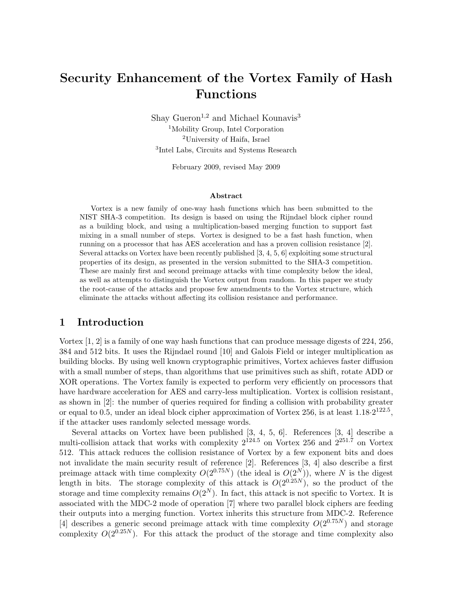# Security Enhancement of the Vortex Family of Hash Functions

Shay Gueron<sup>1,2</sup> and Michael Kounavis<sup>3</sup> Mobility Group, Intel Corporation University of Haifa, Israel Intel Labs, Circuits and Systems Research

February 2009, revised May 2009

#### Abstract

Vortex is a new family of one-way hash functions which has been submitted to the NIST SHA-3 competition. Its design is based on using the Rijndael block cipher round as a building block, and using a multiplication-based merging function to support fast mixing in a small number of steps. Vortex is designed to be a fast hash function, when running on a processor that has AES acceleration and has a proven collision resistance [2]. Several attacks on Vortex have been recently published [3, 4, 5, 6] exploiting some structural properties of its design, as presented in the version submitted to the SHA-3 competition. These are mainly first and second preimage attacks with time complexity below the ideal, as well as attempts to distinguish the Vortex output from random. In this paper we study the root-cause of the attacks and propose few amendments to the Vortex structure, which eliminate the attacks without affecting its collision resistance and performance.

### 1 Introduction

Vortex [1, 2] is a family of one way hash functions that can produce message digests of 224, 256, 384 and 512 bits. It uses the Rijndael round [10] and Galois Field or integer multiplication as building blocks. By using well known cryptographic primitives, Vortex achieves faster diffusion with a small number of steps, than algorithms that use primitives such as shift, rotate ADD or XOR operations. The Vortex family is expected to perform very efficiently on processors that have hardware acceleration for AES and carry-less multiplication. Vortex is collision resistant, as shown in [2]: the number of queries required for finding a collision with probability greater or equal to 0.5, under an ideal block cipher approximation of Vortex 256, is at least  $1.18 \cdot 2^{122.5}$ , if the attacker uses randomly selected message words.

Several attacks on Vortex have been published [3, 4, 5, 6]. References [3, 4] describe a multi-collision attack that works with complexity  $2^{124.5}$  on Vortex 256 and  $2^{251.7}$  on Vortex 512. This attack reduces the collision resistance of Vortex by a few exponent bits and does not invalidate the main security result of reference [2]. References [3, 4] also describe a first preimage attack with time complexity  $O(2^{0.75N})$  (the ideal is  $O(2^N)$ ), where N is the digest length in bits. The storage complexity of this attack is  $O(2^{0.25N})$ , so the product of the storage and time complexity remains  $O(2^N)$ . In fact, this attack is not specific to Vortex. It is associated with the MDC-2 mode of operation [7] where two parallel block ciphers are feeding their outputs into a merging function. Vortex inherits this structure from MDC-2. Reference [4] describes a generic second preimage attack with time complexity  $O(2^{0.75N})$  and storage complexity  $O(2^{0.25N})$ . For this attack the product of the storage and time complexity also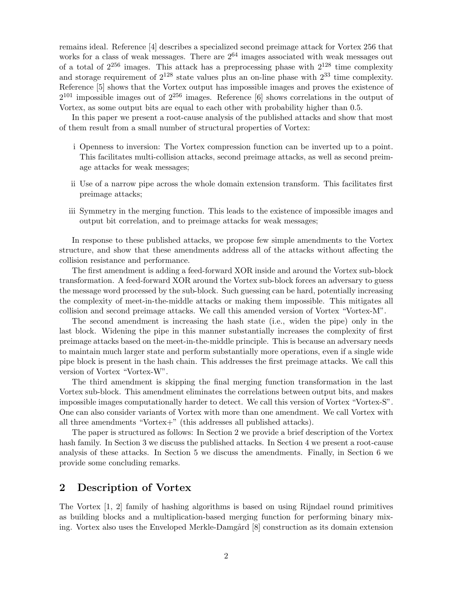remains ideal. Reference [4] describes a specialized second preimage attack for Vortex 256 that works for a class of weak messages. There are  $2^{64}$  images associated with weak messages out of a total of  $2^{256}$  images. This attack has a preprocessing phase with  $2^{128}$  time complexity and storage requirement of  $2^{128}$  state values plus an on-line phase with  $2^{33}$  time complexity. Reference [5] shows that the Vortex output has impossible images and proves the existence of  $2^{101}$  impossible images out of  $2^{256}$  images. Reference [6] shows correlations in the output of Vortex, as some output bits are equal to each other with probability higher than 0.5.

In this paper we present a root-cause analysis of the published attacks and show that most of them result from a small number of structural properties of Vortex:

- i Openness to inversion: The Vortex compression function can be inverted up to a point. This facilitates multi-collision attacks, second preimage attacks, as well as second preimage attacks for weak messages;
- ii Use of a narrow pipe across the whole domain extension transform. This facilitates first preimage attacks;
- iii Symmetry in the merging function. This leads to the existence of impossible images and output bit correlation, and to preimage attacks for weak messages;

In response to these published attacks, we propose few simple amendments to the Vortex structure, and show that these amendments address all of the attacks without affecting the collision resistance and performance.

The first amendment is adding a feed-forward XOR inside and around the Vortex sub-block transformation. A feed-forward XOR around the Vortex sub-block forces an adversary to guess the message word processed by the sub-block. Such guessing can be hard, potentially increasing the complexity of meet-in-the-middle attacks or making them impossible. This mitigates all collision and second preimage attacks. We call this amended version of Vortex "Vortex-M".

The second amendment is increasing the hash state (i.e., widen the pipe) only in the last block. Widening the pipe in this manner substantially increases the complexity of first preimage attacks based on the meet-in-the-middle principle. This is because an adversary needs to maintain much larger state and perform substantially more operations, even if a single wide pipe block is present in the hash chain. This addresses the first preimage attacks. We call this version of Vortex "Vortex-W".

The third amendment is skipping the final merging function transformation in the last Vortex sub-block. This amendment eliminates the correlations between output bits, and makes impossible images computationally harder to detect. We call this version of Vortex "Vortex-S". One can also consider variants of Vortex with more than one amendment. We call Vortex with all three amendments "Vortex+" (this addresses all published attacks).

The paper is structured as follows: In Section 2 we provide a brief description of the Vortex hash family. In Section 3 we discuss the published attacks. In Section 4 we present a root-cause analysis of these attacks. In Section 5 we discuss the amendments. Finally, in Section 6 we provide some concluding remarks.

### 2 Description of Vortex

The Vortex [1, 2] family of hashing algorithms is based on using Rijndael round primitives as building blocks and a multiplication-based merging function for performing binary mixing. Vortex also uses the Enveloped Merkle-Damgård [8] construction as its domain extension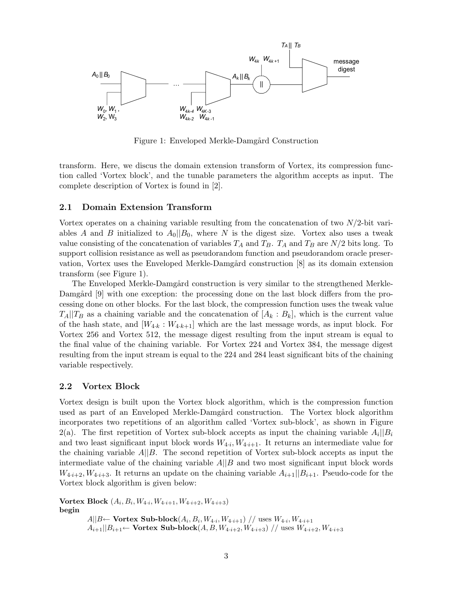

Figure 1: Enveloped Merkle-Damgård Construction

transform. Here, we discus the domain extension transform of Vortex, its compression function called 'Vortex block', and the tunable parameters the algorithm accepts as input. The complete description of Vortex is found in [2].

### 2.1 Domain Extension Transform

Vortex operates on a chaining variable resulting from the concatenation of two  $N/2$ -bit variables A and B initialized to  $A_0||B_0$ , where N is the digest size. Vortex also uses a tweak value consisting of the concatenation of variables  $T_A$  and  $T_B$ .  $T_A$  and  $T_B$  are  $N/2$  bits long. To support collision resistance as well as pseudorandom function and pseudorandom oracle preservation, Vortex uses the Enveloped Merkle-Damgård construction [8] as its domain extension transform (see Figure 1).

The Enveloped Merkle-Damgård construction is very similar to the strengthened Merkle-Damgård [9] with one exception: the processing done on the last block differs from the processing done on other blocks. For the last block, the compression function uses the tweak value  $T_A||T_B$  as a chaining variable and the concatenation of  $[A_k : B_k]$ , which is the current value of the hash state, and  $[W_{4\cdot k}:W_{4\cdot k+1}]$  which are the last message words, as input block. For Vortex 256 and Vortex 512, the message digest resulting from the input stream is equal to the final value of the chaining variable. For Vortex 224 and Vortex 384, the message digest resulting from the input stream is equal to the 224 and 284 least significant bits of the chaining variable respectively.

### 2.2 Vortex Block

Vortex design is built upon the Vortex block algorithm, which is the compression function used as part of an Enveloped Merkle-Damgård construction. The Vortex block algorithm incorporates two repetitions of an algorithm called 'Vortex sub-block', as shown in Figure 2(a). The first repetition of Vortex sub-block accepts as input the chaining variable  $A_i||B_i$ and two least significant input block words  $W_{4,i}, W_{4,i+1}$ . It returns an intermediate value for the chaining variable  $A||B$ . The second repetition of Vortex sub-block accepts as input the intermediate value of the chaining variable  $A||B$  and two most significant input block words  $W_{4\cdot i+2}, W_{4\cdot i+3}$ . It returns an update on the chaining variable  $A_{i+1}||B_{i+1}$ . Pseudo-code for the Vortex block algorithm is given below:

 $\textbf{Vortex Block} (A_i, B_i, W_{4 \cdot i}, W_{4 \cdot i+1}, W_{4 \cdot i+2}, W_{4 \cdot i+3})$ begin  $A||B \leftarrow$  Vortex Sub-block $(A_i, B_i, W_{4 \cdot i}, W_{4 \cdot i+1})$  // uses  $W_{4 \cdot i}, W_{4 \cdot i+1}$  $A_{i+1}||B_{i+1} \leftarrow$  Vortex Sub-block $(A, B, W_{4 \cdot i+2}, W_{4 \cdot i+3})$  // uses  $W_{4 \cdot i+2}, W_{4 \cdot i+3}$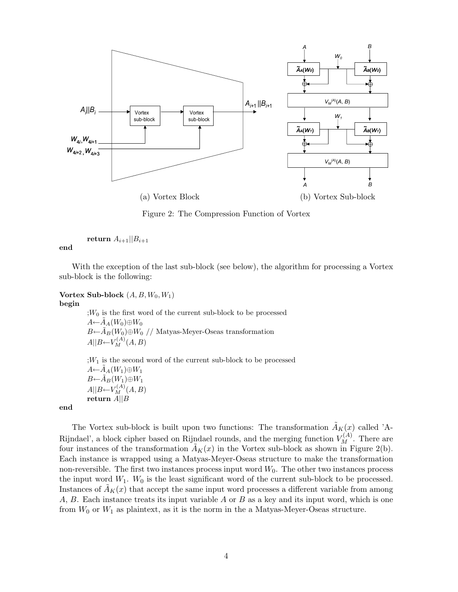

Figure 2: The Compression Function of Vortex

return  $A_{i+1}||B_{i+1}$ 

end

With the exception of the last sub-block (see below), the algorithm for processing a Vortex sub-block is the following:

### Vortex Sub-block  $(A, B, W_0, W_1)$ begin

 $;W_0$  is the first word of the current sub-block to be processed  $A \leftarrow \tilde{A}_A(W_0) \oplus W_0$  $B\leftarrow \tilde{A}_B(W_0)\oplus W_0$  // Matyas-Meyer-Oseas transformation  $A||B \leftarrow V_M^{(A)}(A, B)$  $;W_1$  is the second word of the current sub-block to be processed  $A \leftarrow \tilde{A}_A(W_1) \oplus W_1$ 

 $B\leftarrow \widetilde{A}_B(W_1)\oplus W_1$  $A||B \leftarrow V_M^{(A)}(A, B)$  $r$ eturn  $A||B$ 

end

The Vortex sub-block is built upon two functions: The transformation  $\tilde{A}_K(x)$  called 'A-Rijndael', a block cipher based on Rijndael rounds, and the merging function  $V_M^{(A)}$ . There are four instances of the transformation  $\tilde{A}_K(x)$  in the Vortex sub-block as shown in Figure 2(b). Each instance is wrapped using a Matyas-Meyer-Oseas structure to make the transformation non-reversible. The first two instances process input word  $W_0$ . The other two instances process the input word  $W_1$ .  $W_0$  is the least significant word of the current sub-block to be processed. Instances of  $A_K(x)$  that accept the same input word processes a different variable from among  $A, B.$  Each instance treats its input variable  $A$  or  $B$  as a key and its input word, which is one from  $W_0$  or  $W_1$  as plaintext, as it is the norm in the a Matyas-Meyer-Oseas structure.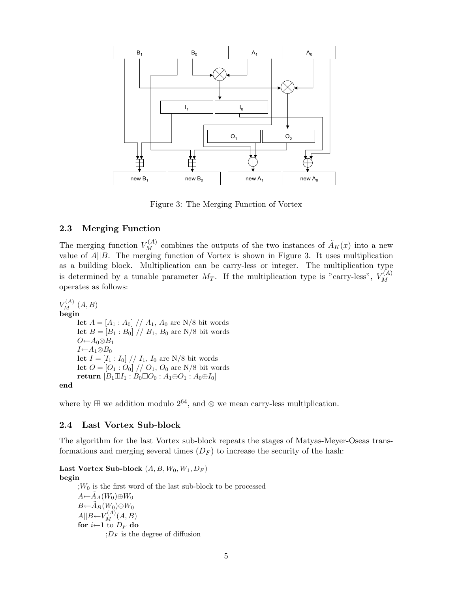

Figure 3: The Merging Function of Vortex

### 2.3 Merging Function

The merging function  $V_M^{(A)}$  combines the outputs of the two instances of  $\tilde{A}_K(x)$  into a new value of  $A||B$ . The merging function of Vortex is shown in Figure 3. It uses multiplication as a building block. Multiplication can be carry-less or integer. The multiplication type is determined by a tunable parameter  $M_T$ . If the multiplication type is "carry-less",  $V_M^{(A)}$ M operates as follows:

 $V_M^{(A)}(A, B)$ begin let  $A = [A_1 : A_0] / / A_1$ ,  $A_0$  are N/8 bit words let  $B = [B_1 : B_0] // B_1, B_0$  are N/8 bit words  $O \leftarrow A_0 \otimes B_1$  $I \leftarrow A_1 \otimes B_0$ let  $I = [I_1 : I_0] / / I_1$ ,  $I_0$  are N/8 bit words let  $O = [O_1: O_0] / / O_1$ ,  $O_0$  are N/8 bit words return  $[B_1 \boxplus I_1 : B_0 \boxplus O_0 : A_1 \oplus O_1 : A_0 \oplus I_0]$ end

where by  $\boxplus$  we addition modulo  $2^{64}$ , and ⊗ we mean carry-less multiplication.

### 2.4 Last Vortex Sub-block

The algorithm for the last Vortex sub-block repeats the stages of Matyas-Meyer-Oseas transformations and merging several times  $(D_F)$  to increase the security of the hash:

### Last Vortex Sub-block  $(A, B, W_0, W_1, D_F)$ begin

 $;W_0$  is the first word of the last sub-block to be processed  $A \leftarrow \tilde{A}_A(W_0) \oplus W_0$  $B\leftarrow \tilde{A}_B(W_0)\oplus W_0$  $A||B \leftarrow V_M^{(A)}(A, B)$ for  $i$ ←1 to  $D_F$  do  $;D_F$  is the degree of diffusion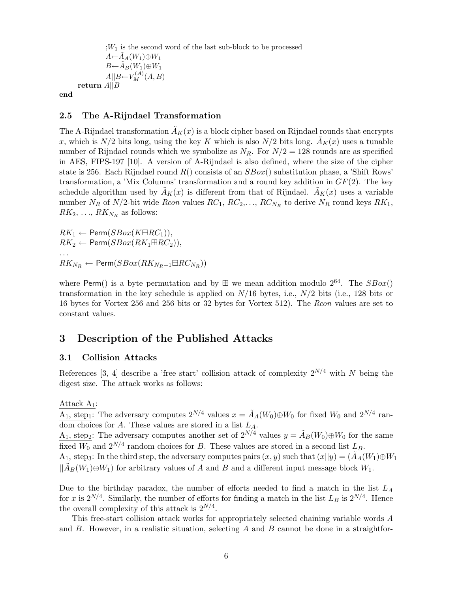$;W_1$  is the second word of the last sub-block to be processed  $A \leftarrow \tilde{A}_A(W_1) \oplus W_1$  $B\leftarrow \widetilde{A}_B(W_1)\oplus W_1$  $A||B \leftarrow V_M^{(A)}(A, B)$ return A||B

end

### 2.5 The A-Rijndael Transformation

The A-Rijndael transformation  $\tilde{A}_K(x)$  is a block cipher based on Rijndael rounds that encrypts x, which is  $N/2$  bits long, using the key K which is also  $N/2$  bits long.  $\tilde{A}_K(x)$  uses a tunable number of Rijndael rounds which we symbolize as  $N_R$ . For  $N/2 = 128$  rounds are as specified in AES, FIPS-197 [10]. A version of A-Rijndael is also defined, where the size of the cipher state is 256. Each Rijndael round  $R()$  consists of an  $SBox()$  substitution phase, a 'Shift Rows' transformation, a 'Mix Columns' transformation and a round key addition in  $GF(2)$ . The key schedule algorithm used by  $A_K(x)$  is different from that of Rijndael.  $A_K(x)$  uses a variable number  $N_R$  of  $N/2$ -bit wide *Rcon* values  $RC_1, RC_2,..., RC_{N_R}$  to derive  $N_R$  round keys  $RK_1$ ,  $RK_2, \ldots, RK_{N_R}$  as follows:

 $RK_1 \leftarrow \text{Perm}(SBox(K\boxplus RC_1)),$  $RK_2 \leftarrow \text{Perm}(SBox(RK_1\boxplus RC_2)),$ . . .  $RK_{N_R} \leftarrow \mathsf{Perm}(SBox(RK_{N_R-1} \boxplus RC_{N_R}))$ 

where Perm() is a byte permutation and by  $\boxplus$  we mean addition modulo  $2^{64}$ . The  $SBox()$ transformation in the key schedule is applied on  $N/16$  bytes, i.e.,  $N/2$  bits (i.e., 128 bits or 16 bytes for Vortex 256 and 256 bits or 32 bytes for Vortex 512). The Rcon values are set to constant values.

# 3 Description of the Published Attacks

### 3.1 Collision Attacks

References [3, 4] describe a 'free start' collision attack of complexity  $2^{N/4}$  with N being the digest size. The attack works as follows:

Attack  $A_1$ :

 $\overline{A_1}$ , step<sub>1</sub>: The adversary computes  $2^{N/4}$  values  $x = \tilde{A}_A(W_0) \oplus W_0$  for fixed  $W_0$  and  $2^{N/4}$  random choices for A. These values are stored in a list  $L_A$ .

A<sub>1</sub>, step<sub>2</sub>: The adversary computes another set of  $2^{N/4}$  values  $y = \tilde{A}_B(W_0) \oplus W_0$  for the same fixed  $W_0$  and  $2^{N/4}$  random choices for B. These values are stored in a second list  $L_B$ . A<sub>1</sub>, step<sub>3</sub>: In the third step, the adversary computes pairs  $(x, y)$  such that  $(x||y) = (\tilde{A}_A(W_1) \oplus W_1)$ 

 $||\tilde{A}_B(W_1) \oplus W_1||$  for arbitrary values of A and B and a different input message block  $W_1$ .

Due to the birthday paradox, the number of efforts needed to find a match in the list  $L_A$ for x is  $2^{N/4}$ . Similarly, the number of efforts for finding a match in the list  $L_B$  is  $2^{N/4}$ . Hence the overall complexity of this attack is  $2^{N/4}$ .

This free-start collision attack works for appropriately selected chaining variable words A and  $B$ . However, in a realistic situation, selecting  $A$  and  $B$  cannot be done in a straightfor-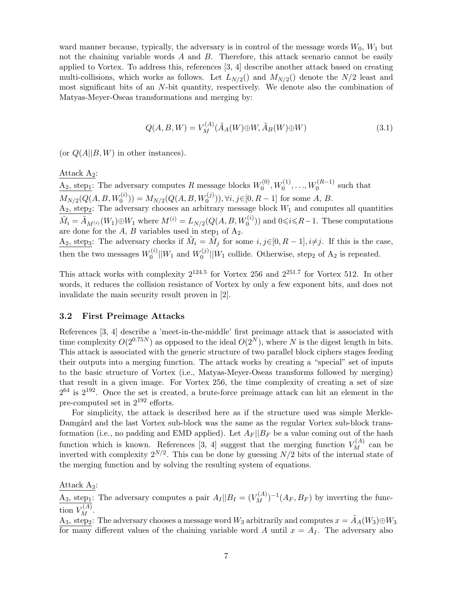ward manner because, typically, the adversary is in control of the message words  $W_0$ ,  $W_1$  but not the chaining variable words  $A$  and  $B$ . Therefore, this attack scenario cannot be easily applied to Vortex. To address this, references [3, 4] describe another attack based on creating multi-collisions, which works as follows. Let  $L_{N/2}$  and  $M_{N/2}$  denote the  $N/2$  least and most significant bits of an N-bit quantity, respectively. We denote also the combination of Matyas-Meyer-Oseas transformations and merging by:

$$
Q(A, B, W) = V_M^{(A)}(\tilde{A}_A(W) \oplus W, \tilde{A}_B(W) \oplus W)
$$
\n(3.1)

(or  $Q(A||B, W)$  in other instances).

Attack  $A_2$ :

 $A_2$ , step<sub>1</sub>: The adversary computes R message blocks  $W_0^{(0)}$  $W_0^{(0)}, W_0^{(1)}, \ldots, W_0^{(R-1)}$  such that  $M_{N/2}(Q(A, B, W_0^{(i)})) = M_{N/2}(Q(A, B, W_0^{(j)})), \forall i, j \in [0, R-1]$  for some A, B.  $A_2$ , step<sub>2</sub>: The adversary chooses an arbitrary message block  $W_1$  and computes all quantities  $\tilde{M}_i = \tilde{A}_{M^{(i)}}(W_1) \oplus W_1$  where  $M^{(i)} = L_{N/2}(Q(A, B, W_0^{(i)}))$  and  $0 \leq i \leq R-1$ . These computations are done for the A, B variables used in step<sub>1</sub> of  $A_2$ .  $A_2$ , step<sub>3</sub>: The adversary checks if  $\tilde{M}_i = \tilde{M}_j$  for some  $i, j \in [0, R-1], i \neq j$ . If this is the case, then the two messages  $W_0^{(i)}$  $\binom{0}{0}$ || $W_1$  and  $W_0^{(j)}$  $\binom{[0]}{0}$  ||W<sub>1</sub> collide. Otherwise, step<sub>2</sub> of A<sub>2</sub> is repeated.

This attack works with complexity  $2^{124.5}$  for Vortex 256 and  $2^{251.7}$  for Vortex 512. In other words, it reduces the collision resistance of Vortex by only a few exponent bits, and does not invalidate the main security result proven in [2].

### 3.2 First Preimage Attacks

References [3, 4] describe a 'meet-in-the-middle' first preimage attack that is associated with time complexity  $O(2^{0.75N})$  as opposed to the ideal  $O(2^N)$ , where N is the digest length in bits. This attack is associated with the generic structure of two parallel block ciphers stages feeding their outputs into a merging function. The attack works by creating a "special" set of inputs to the basic structure of Vortex (i.e., Matyas-Meyer-Oseas transforms followed by merging) that result in a given image. For Vortex 256, the time complexity of creating a set of size  $2^{64}$  is  $2^{192}$ . Once the set is created, a brute-force preimage attack can hit an element in the pre-computed set in 2<sup>192</sup> efforts.

For simplicity, the attack is described here as if the structure used was simple Merkle-Damgård and the last Vortex sub-block was the same as the regular Vortex sub-block transformation (i.e., no padding and EMD applied). Let  $A_F||B_F$  be a value coming out of the hash function which is known. References [3, 4] suggest that the merging function  $V_M^{(A)}$  can be inverted with complexity  $2^{N/2}$ . This can be done by guessing  $N/2$  bits of the internal state of the merging function and by solving the resulting system of equations.

Attack  $A_3$ :

 $\underline{A}_3$ , step<sub>1</sub>: The adversary computes a pair  $A_I || B_I = (V_M^{(A)})^{-1}(A_F, B_F)$  by inverting the function  $V_M^{(A)}$ .

A<sub>3</sub>, step<sub>2</sub>: The adversary chooses a message word W<sub>3</sub> arbitrarily and computes  $x = \tilde{A}_A(W_3) \oplus W_3$ for many different values of the chaining variable word A until  $x = A<sub>I</sub>$ . The adversary also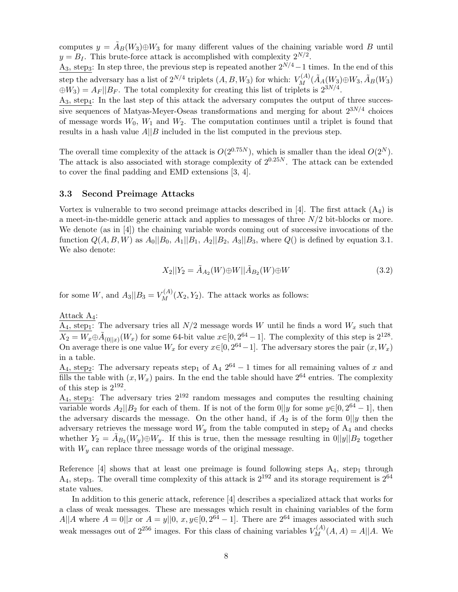computes  $y = \tilde{A}_B(W_3) \oplus W_3$  for many different values of the chaining variable word B until  $y = B_I$ . This brute-force attack is accomplished with complexity  $2^{N/2}$ .

A<sub>3</sub>, step<sub>3</sub>: In step three, the previous step is repeated another  $2^{N/4}-1$  times. In the end of this step the adversary has a list of  $2^{N/4}$  triplets  $(A, B, W_3)$  for which:  $V_M^{(A)}(\tilde{A}_A(W_3) \oplus W_3, \tilde{A}_B(W_3))$  $\oplus W_3 = A_F || B_F$ . The total complexity for creating this list of triplets is  $2^{3N/4}$ .

 $A_3$ , step<sub>4</sub>: In the last step of this attack the adversary computes the output of three successive sequences of Matyas-Meyer-Oseas transformations and merging for about  $2^{3N/4}$  choices of message words  $W_0$ ,  $W_1$  and  $W_2$ . The computation continues until a triplet is found that results in a hash value  $A||B$  included in the list computed in the previous step.

The overall time complexity of the attack is  $O(2^{0.75N})$ , which is smaller than the ideal  $O(2^N)$ . The attack is also associated with storage complexity of  $2^{0.25N}$ . The attack can be extended to cover the final padding and EMD extensions [3, 4].

### 3.3 Second Preimage Attacks

Vortex is vulnerable to two second preimage attacks described in [4]. The first attack  $(A_4)$  is a meet-in-the-middle generic attack and applies to messages of three  $N/2$  bit-blocks or more. We denote (as in [4]) the chaining variable words coming out of successive invocations of the function  $Q(A, B, W)$  as  $A_0||B_0, A_1||B_1, A_2||B_2, A_3||B_3$ , where  $Q()$  is defined by equation 3.1. We also denote:

$$
X_2||Y_2 = \tilde{A}_{A_2}(W) \oplus W||\tilde{A}_{B_2}(W) \oplus W \tag{3.2}
$$

for some W, and  $A_3||B_3 = V_M^{(A)}(X_2, Y_2)$ . The attack works as follows:

Attack A4:

 $A_4$ , step<sub>1</sub>: The adversary tries all  $N/2$  message words W until he finds a word  $W_x$  such that  $\overline{X_2} = \overline{W_x} \oplus \tilde{A}_{(0||x)}(W_x)$  for some 64-bit value  $x \in [0, 2^{64} - 1]$ . The complexity of this step is  $2^{128}$ . On average there is one value  $W_x$  for every  $x \in [0, 2^{64} - 1]$ . The adversary stores the pair  $(x, W_x)$ in a table.

A<sub>4</sub>, step<sub>2</sub>: The adversary repeats step<sub>1</sub> of A<sub>4</sub>  $2^{64} - 1$  times for all remaining values of x and fills the table with  $(x, W_x)$  pairs. In the end the table should have  $2^{64}$  entries. The complexity of this step is  $2^{192}$ .

 $A_4$ , step<sub>3</sub>: The adversary tries  $2^{192}$  random messages and computes the resulting chaining variable words  $A_2||B_2$  for each of them. If is not of the form  $0||y$  for some  $y \in [0, 2^{64} - 1]$ , then the adversary discards the message. On the other hand, if  $A_2$  is of the form  $0||y$  then the adversary retrieves the message word  $W_y$  from the table computed in step<sub>2</sub> of  $A_4$  and checks whether  $Y_2 = \tilde{A}_{B_2}(W_y) \oplus W_y$ . If this is true, then the message resulting in  $0||y||B_2$  together with  $W_y$  can replace three message words of the original message.

Reference  $[4]$  shows that at least one preimage is found following steps  $A_4$ , step<sub>1</sub> through  $A_4$ , step<sub>3</sub>. The overall time complexity of this attack is  $2^{192}$  and its storage requirement is  $2^{64}$ state values.

In addition to this generic attack, reference [4] describes a specialized attack that works for a class of weak messages. These are messages which result in chaining variables of the form  $A||A$  where  $A = 0||x$  or  $A = y||0, x, y \in [0, 2^{64} - 1]$ . There are  $2^{64}$  images associated with such weak messages out of  $2^{256}$  images. For this class of chaining variables  $V_M^{(A)}(A, A) = A||A$ . We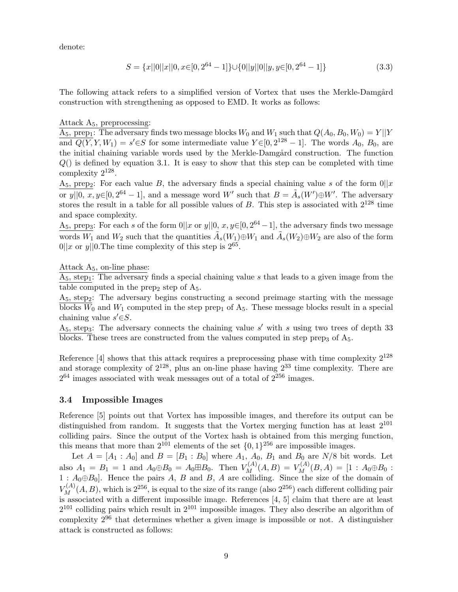denote:

$$
S = \{x||0||x||0, x \in [0, 2^{64} - 1]\} \cup \{0||y||0||y, y \in [0, 2^{64} - 1]\}
$$
\n
$$
(3.3)
$$

The following attack refers to a simplified version of Vortex that uses the Merkle-Damgård construction with strengthening as opposed to EMD. It works as follows:

### Attack  $A_5$ , preprocessing:

 $\overline{A_5}$ , prep<sub>1</sub>: The adversary finds two message blocks  $W_0$  and  $W_1$  such that  $Q(A_0, B_0, W_0) = Y||Y|$ and  $Q(Y, Y, W_1) = s' \in S$  for some intermediate value  $Y \in [0, 2^{128} - 1]$ . The words  $A_0, B_0$ , are the initial chaining variable words used by the Merkle-Damgård construction. The function  $Q()$  is defined by equation 3.1. It is easy to show that this step can be completed with time complexity  $2^{128}$ .

 $A_5$ , prep<sub>2</sub>: For each value B, the adversary finds a special chaining value s of the form  $0||x$ or  $y||0, x, y \in [0, 2^{64} - 1]$ , and a message word W' such that  $B = \tilde{A}_s(W') \oplus W'$ . The adversary stores the result in a table for all possible values of  $B$ . This step is associated with  $2^{128}$  time and space complexity.

A<sub>5</sub>, prep<sub>3</sub>: For each s of the form  $0||x$  or  $y||0, x, y \in [0, 2^{64} - 1]$ , the adversary finds two message words  $\overline{W_1}$  and  $W_2$  such that the quantities  $\tilde{A}_s(W_1) \oplus W_1$  and  $\tilde{A}_s(W_2) \oplus W_2$  are also of the form  $0||x \text{ or } y||0$ . The time complexity of this step is  $2^{65}$ .

Attack  $A_5$ , on-line phase:

 $A_5$ , step<sub>1</sub>: The adversary finds a special chaining value s that leads to a given image from the table computed in the prep<sub>2</sub> step of  $A_5$ .

 $A_5$ , step<sub>2</sub>: The adversary begins constructing a second preimage starting with the message blocks  $\overline{W}_0$  and  $W_1$  computed in the step prep<sub>1</sub> of  $A_5$ . These message blocks result in a special chaining value  $s' \in S$ .

 $A_5$ , step<sub>3</sub>: The adversary connects the chaining value s' with s using two trees of depth 33 blocks. These trees are constructed from the values computed in step prep<sub>3</sub> of  $A_5$ .

Reference  $[4]$  shows that this attack requires a preprocessing phase with time complexity  $2^{128}$ and storage complexity of  $2^{128}$ , plus an on-line phase having  $2^{33}$  time complexity. There are  $2^{64}$  images associated with weak messages out of a total of  $2^{256}$  images.

#### 3.4 Impossible Images

Reference [5] points out that Vortex has impossible images, and therefore its output can be distinguished from random. It suggests that the Vortex merging function has at least  $2^{101}$ colliding pairs. Since the output of the Vortex hash is obtained from this merging function, this means that more than  $2^{101}$  elements of the set  $\{0,1\}^{256}$  are impossible images.

Let  $A = [A_1 : A_0]$  and  $B = [B_1 : B_0]$  where  $A_1, A_0, B_1$  and  $B_0$  are  $N/8$  bit words. Let also  $A_1 = B_1 = 1$  and  $A_0 \oplus B_0 = A_0 \boxplus B_0$ . Then  $V_M^{(A)}(A, B) = V_M^{(A)}(B, A) = [1 : A_0 \oplus B_0 :$  $1: A_0 \oplus B_0$ . Hence the pairs A, B and B, A are colliding. Since the size of the domain of  $V_M^{(A)}(A, B)$ , which is  $2^{256}$ , is equal to the size of its range (also  $2^{256}$ ) each different colliding pair is associated with a different impossible image. References  $[4, 5]$  claim that there are at least  $2^{101}$  colliding pairs which result in  $2^{101}$  impossible images. They also describe an algorithm of complexity  $2^{96}$  that determines whether a given image is impossible or not. A distinguisher attack is constructed as follows: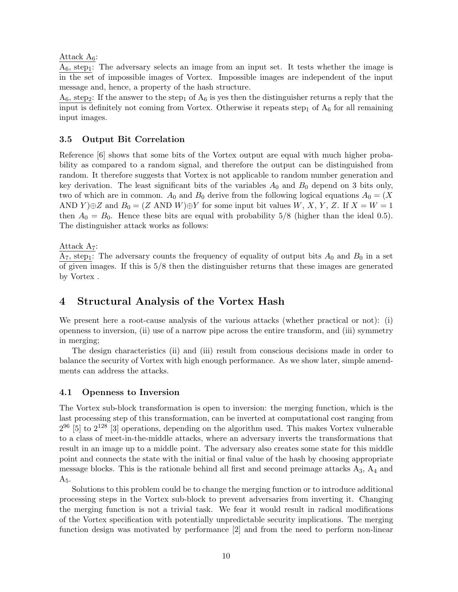Attack  $A_6$ :

 $A_6$ , step<sub>1</sub>: The adversary selects an image from an input set. It tests whether the image is in the set of impossible images of Vortex. Impossible images are independent of the input message and, hence, a property of the hash structure.

 $A_6$ , step<sub>2</sub>: If the answer to the step<sub>1</sub> of  $A_6$  is yes then the distinguisher returns a reply that the input is definitely not coming from Vortex. Otherwise it repeats step<sub>1</sub> of  $A_6$  for all remaining input images.

### 3.5 Output Bit Correlation

Reference [6] shows that some bits of the Vortex output are equal with much higher probability as compared to a random signal, and therefore the output can be distinguished from random. It therefore suggests that Vortex is not applicable to random number generation and key derivation. The least significant bits of the variables  $A_0$  and  $B_0$  depend on 3 bits only, two of which are in common.  $A_0$  and  $B_0$  derive from the following logical equations  $A_0 = (X$ AND Y) $\oplus Z$  and  $B_0 = (Z \text{ AND } W) \oplus Y$  for some input bit values W, X, Y, Z. If  $X = W = 1$ then  $A_0 = B_0$ . Hence these bits are equal with probability  $5/8$  (higher than the ideal 0.5). The distinguisher attack works as follows:

Attack  $A_7$ :

 $A_7$ , step<sub>1</sub>: The adversary counts the frequency of equality of output bits  $A_0$  and  $B_0$  in a set of given images. If this is 5/8 then the distinguisher returns that these images are generated by Vortex .

# 4 Structural Analysis of the Vortex Hash

We present here a root-cause analysis of the various attacks (whether practical or not): (i) openness to inversion, (ii) use of a narrow pipe across the entire transform, and (iii) symmetry in merging;

The design characteristics (ii) and (iii) result from conscious decisions made in order to balance the security of Vortex with high enough performance. As we show later, simple amendments can address the attacks.

### 4.1 Openness to Inversion

The Vortex sub-block transformation is open to inversion: the merging function, which is the last processing step of this transformation, can be inverted at computational cost ranging from  $2^{96}$  [5] to  $2^{128}$  [3] operations, depending on the algorithm used. This makes Vortex vulnerable to a class of meet-in-the-middle attacks, where an adversary inverts the transformations that result in an image up to a middle point. The adversary also creates some state for this middle point and connects the state with the initial or final value of the hash by choosing appropriate message blocks. This is the rationale behind all first and second preimage attacks  $A_3$ ,  $A_4$  and  $A<sub>5</sub>$ .

Solutions to this problem could be to change the merging function or to introduce additional processing steps in the Vortex sub-block to prevent adversaries from inverting it. Changing the merging function is not a trivial task. We fear it would result in radical modifications of the Vortex specification with potentially unpredictable security implications. The merging function design was motivated by performance [2] and from the need to perform non-linear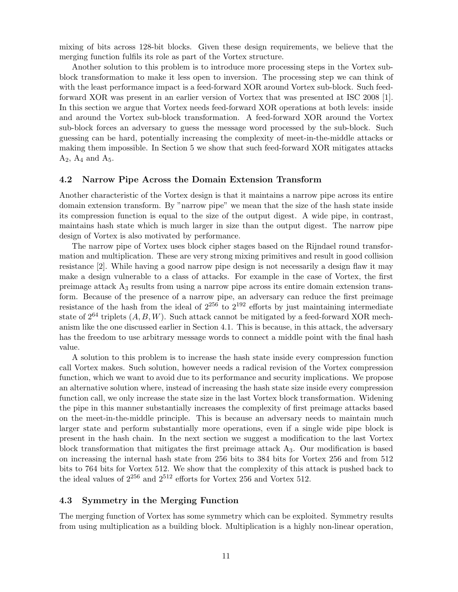mixing of bits across 128-bit blocks. Given these design requirements, we believe that the merging function fulfils its role as part of the Vortex structure.

Another solution to this problem is to introduce more processing steps in the Vortex subblock transformation to make it less open to inversion. The processing step we can think of with the least performance impact is a feed-forward XOR around Vortex sub-block. Such feedforward XOR was present in an earlier version of Vortex that was presented at ISC 2008 [1]. In this section we argue that Vortex needs feed-forward XOR operations at both levels: inside and around the Vortex sub-block transformation. A feed-forward XOR around the Vortex sub-block forces an adversary to guess the message word processed by the sub-block. Such guessing can be hard, potentially increasing the complexity of meet-in-the-middle attacks or making them impossible. In Section 5 we show that such feed-forward XOR mitigates attacks  $A_2$ ,  $A_4$  and  $A_5$ .

### 4.2 Narrow Pipe Across the Domain Extension Transform

Another characteristic of the Vortex design is that it maintains a narrow pipe across its entire domain extension transform. By "narrow pipe" we mean that the size of the hash state inside its compression function is equal to the size of the output digest. A wide pipe, in contrast, maintains hash state which is much larger in size than the output digest. The narrow pipe design of Vortex is also motivated by performance.

The narrow pipe of Vortex uses block cipher stages based on the Rijndael round transformation and multiplication. These are very strong mixing primitives and result in good collision resistance [2]. While having a good narrow pipe design is not necessarily a design flaw it may make a design vulnerable to a class of attacks. For example in the case of Vortex, the first preimage attack A<sup>3</sup> results from using a narrow pipe across its entire domain extension transform. Because of the presence of a narrow pipe, an adversary can reduce the first preimage resistance of the hash from the ideal of  $2^{256}$  to  $2^{192}$  efforts by just maintaining intermediate state of  $2^{64}$  triplets  $(A, B, W)$ . Such attack cannot be mitigated by a feed-forward XOR mechanism like the one discussed earlier in Section 4.1. This is because, in this attack, the adversary has the freedom to use arbitrary message words to connect a middle point with the final hash value.

A solution to this problem is to increase the hash state inside every compression function call Vortex makes. Such solution, however needs a radical revision of the Vortex compression function, which we want to avoid due to its performance and security implications. We propose an alternative solution where, instead of increasing the hash state size inside every compression function call, we only increase the state size in the last Vortex block transformation. Widening the pipe in this manner substantially increases the complexity of first preimage attacks based on the meet-in-the-middle principle. This is because an adversary needs to maintain much larger state and perform substantially more operations, even if a single wide pipe block is present in the hash chain. In the next section we suggest a modification to the last Vortex block transformation that mitigates the first preimage attack  $A_3$ . Our modification is based on increasing the internal hash state from 256 bits to 384 bits for Vortex 256 and from 512 bits to 764 bits for Vortex 512. We show that the complexity of this attack is pushed back to the ideal values of  $2^{256}$  and  $2^{512}$  efforts for Vortex 256 and Vortex 512.

### 4.3 Symmetry in the Merging Function

The merging function of Vortex has some symmetry which can be exploited. Symmetry results from using multiplication as a building block. Multiplication is a highly non-linear operation,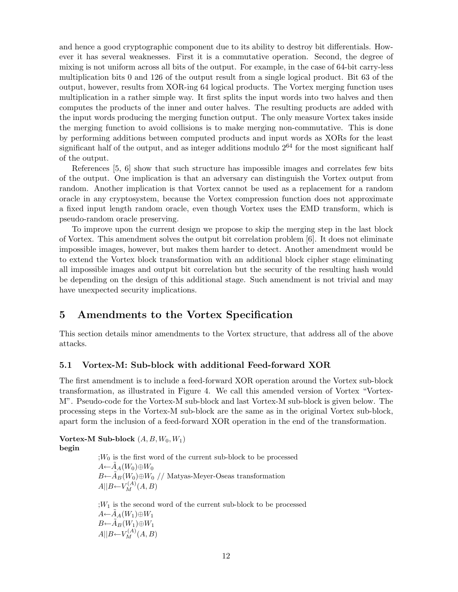and hence a good cryptographic component due to its ability to destroy bit differentials. However it has several weaknesses. First it is a commutative operation. Second, the degree of mixing is not uniform across all bits of the output. For example, in the case of 64-bit carry-less multiplication bits 0 and 126 of the output result from a single logical product. Bit 63 of the output, however, results from XOR-ing 64 logical products. The Vortex merging function uses multiplication in a rather simple way. It first splits the input words into two halves and then computes the products of the inner and outer halves. The resulting products are added with the input words producing the merging function output. The only measure Vortex takes inside the merging function to avoid collisions is to make merging non-commutative. This is done by performing additions between computed products and input words as XORs for the least significant half of the output, and as integer additions modulo  $2^{64}$  for the most significant half of the output.

References [5, 6] show that such structure has impossible images and correlates few bits of the output. One implication is that an adversary can distinguish the Vortex output from random. Another implication is that Vortex cannot be used as a replacement for a random oracle in any cryptosystem, because the Vortex compression function does not approximate a fixed input length random oracle, even though Vortex uses the EMD transform, which is pseudo-random oracle preserving.

To improve upon the current design we propose to skip the merging step in the last block of Vortex. This amendment solves the output bit correlation problem [6]. It does not eliminate impossible images, however, but makes them harder to detect. Another amendment would be to extend the Vortex block transformation with an additional block cipher stage eliminating all impossible images and output bit correlation but the security of the resulting hash would be depending on the design of this additional stage. Such amendment is not trivial and may have unexpected security implications.

# 5 Amendments to the Vortex Specification

This section details minor amendments to the Vortex structure, that address all of the above attacks.

### 5.1 Vortex-M: Sub-block with additional Feed-forward XOR

The first amendment is to include a feed-forward XOR operation around the Vortex sub-block transformation, as illustrated in Figure 4. We call this amended version of Vortex "Vortex-M". Pseudo-code for the Vortex-M sub-block and last Vortex-M sub-block is given below. The processing steps in the Vortex-M sub-block are the same as in the original Vortex sub-block, apart form the inclusion of a feed-forward XOR operation in the end of the transformation.

Vortex-M Sub-block  $(A, B, W_0, W_1)$ begin

> $;W_0$  is the first word of the current sub-block to be processed  $A \leftarrow A_A(W_0) \oplus W_0$  $B \leftarrow \tilde{A}_B(W_0) \oplus W_0$  // Matyas-Meyer-Oseas transformation  $A||B \leftarrow V_M^{(A)}(A, B)$

 $;W_1$  is the second word of the current sub-block to be processed  $A \leftarrow \tilde{A}_A(W_1) \oplus W_1$  $B\leftarrow \tilde{A}_B(W_1)\oplus W_1$  $A||B \leftarrow V_M^{(A)}(A, B)$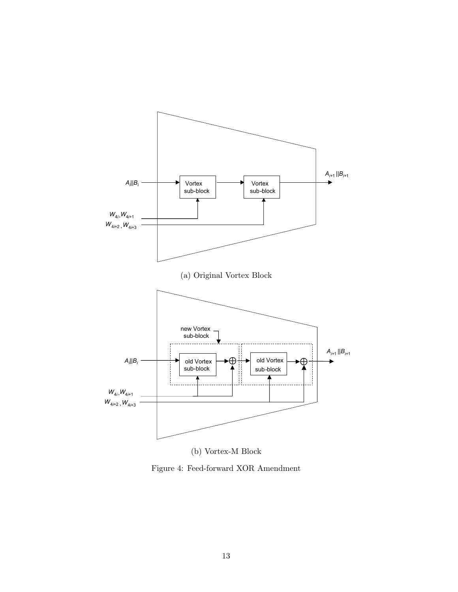

(b) Vortex-M Block

Figure 4: Feed-forward XOR Amendment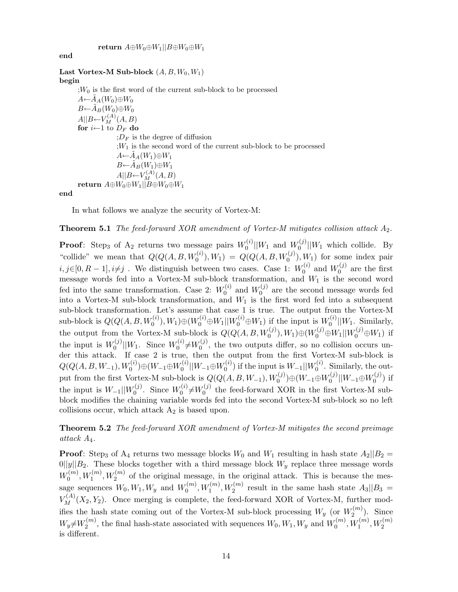end

Last Vortex-M Sub-block  $(A, B, W_0, W_1)$ begin  $;W_0$  is the first word of the current sub-block to be processed  $A \leftarrow \tilde{A}_A(W_0) \oplus W_0$  $B{\leftarrow}\widetilde{A}_B(W_0){\oplus}W_0$  $A||B \leftarrow V_M^{(A)}(A, B)$ for  $i\leftarrow 1$  to  $D_F$  do  $;D_F$  is the degree of diffusion  $;W_1$  is the second word of the current sub-block to be processed  $A \leftarrow A_A(W_1) \oplus W_1$  $B\leftarrow \tilde{A}_B(W_1)\oplus W_1$  $A||B \leftarrow V_M^{(A)}(A, B)$ return  $A \oplus W_0 \oplus W_1 || B \oplus W_0 \oplus W_1$ 

end

In what follows we analyze the security of Vortex-M:

#### **Theorem 5.1** The feed-forward XOR amendment of Vortex-M mitigates collision attack  $A_2$ .

**Proof**: Step<sub>3</sub> of A<sub>2</sub> returns two message pairs  $W_0^{(i)}$  $\binom{0}{0}||W_1$  and  $W_0^{(j)}$  $\binom{0}{0}$ || $W_1$  which collide. By "collide" we mean that  $Q(Q(A, B, W_0^{(i)}), W_1) = Q(Q(A, B, W_0^{(j)}), W_1)$  for some index pair  $i, j \in [0, R-1], i \neq j$ . We distinguish between two cases. Case 1:  $W_0^{(i)}$  $\stackrel{\cdot(i)}{0}$  and  $W_0^{(j)}$  $\int_0^{(J)}$  are the first message words fed into a Vortex-M sub-block transformation, and W<sup>1</sup> is the second word fed into the same transformation. Case 2:  $W_0^{(i)}$  $\stackrel{\cdot(i)}{0}$  and  $W_0^{(j)}$  $0<sup>(J)</sup>$  are the second message words fed into a Vortex-M sub-block transformation, and  $W_1$  is the first word fed into a subsequent sub-block transformation. Let's assume that case 1 is true. The output from the Vortex-M  $\text{sub-block is } Q(Q(A, B, W_0^{(i)}), W_1) \oplus (W_0^{(i)} \oplus W_1 || W_0^{(i)} \oplus W_1)$  if the input is  $W_0^{(i)}$  $\binom{[i]}{0}$  || $W_1$ . Similarly, the output from the Vortex-M sub-block is  $Q(Q(A, B, W_0^{(j)}), W_1) \oplus (W_0^{(j)} \oplus W_1 || W_0^{(j)} \oplus W_1)$  if the input is  $W_0^{(j)}$  $\int_0^{(j)}$ || $W_1$ . Since  $W_0^{(i)}$  $U_0^{(i)} \neq W_0^{(j)}$  $_{0}^{\left( 0\right) }$ , the two outputs differ, so no collision occurs under this attack. If case 2 is true, then the output from the first Vortex-M sub-block is  $Q(Q(A,B,W_{-1}),W_{0}^{(i)}) {\oplus} (W_{-1}{\oplus} W_{0}^{(i)})$  $\frac{1}{0}||W_{-1} {\oplus} W_0^{(i)}$  $\mathcal{W}^{(i)}_{0})$  if the input is  $W_{-1} || W^{(i)}_{0}$  $\int_0^{(t)}$ . Similarly, the output from the first Vortex-M sub-block is  $Q(Q(A, B, W_{-1}), W_0^{(j)}) \oplus (W_{-1} \oplus W_0^{(j)})$  $\frac{N^{(j)}}{0}||W_{-1} {\oplus} W_0^{(j)}$  $_0^{\prime (J)}$ ) if the input is  $W_{-1}$ || $W_0^{(j)}$  $W_0^{(j)}$ . Since  $W_0^{(i)}$  $W_0^{(i)} \neq W_0^{(j)}$  $_{0}^{\left( \text{y}\right) }$  the feed-forward XOR in the first Vortex-M subblock modifies the chaining variable words fed into the second Vortex-M sub-block so no left collisions occur, which attack  $A_2$  is based upon.

**Theorem 5.2** The feed-forward XOR amendment of Vortex-M mitigates the second preimage attack A4.

**Proof:** Step<sub>3</sub> of A<sub>4</sub> returns two message blocks  $W_0$  and  $W_1$  resulting in hash state  $A_2||B_2 =$  $0||y||B_2$ . These blocks together with a third message block  $W_y$  replace three message words  $W_0^{(m)}$  $W_0^{(m)}$ ,  $W_1^{(m)}$ ,  $W_2^{(m)}$  of the original message, in the original attack. This is because the message sequences  $W_0, W_1, W_y$  and  $W_0^{(m)}$  $U_0^{(m)}$ ,  $W_1^{(m)}$ ,  $W_2^{(m)}$  result in the same hash state  $A_3||B_3 =$  $V_M^{(A)}(X_2, Y_2)$ . Once merging is complete, the feed-forward XOR of Vortex-M, further modifies the hash state coming out of the Vortex-M sub-block processing  $W_y$  (or  $W_2^{(m)}$  $2^{(m)}$ ). Since  $W_y \neq W_2^{(m)}$  $U_2^{(m)}$ , the final hash-state associated with sequences  $W_0, W_1, W_y$  and  $W_0^{(m)}$  $U_0^{(m)}, W_1^{(m)}, W_2^{(m)}$ is different.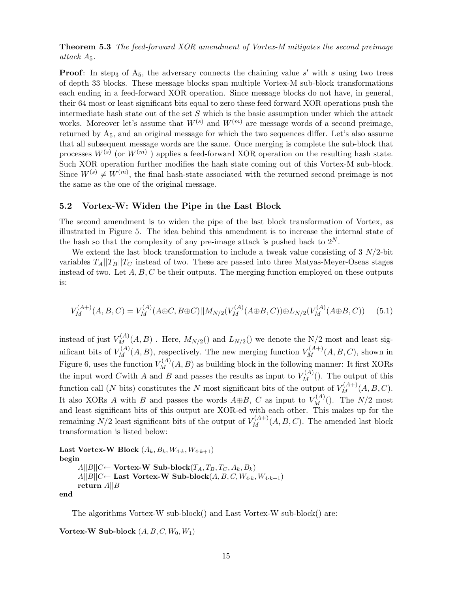**Theorem 5.3** The feed-forward XOR amendment of Vortex-M mitigates the second preimage attack  $A_5$ .

**Proof:** In step<sub>3</sub> of  $A_5$ , the adversary connects the chaining value s' with s using two trees of depth 33 blocks. These message blocks span multiple Vortex-M sub-block transformations each ending in a feed-forward XOR operation. Since message blocks do not have, in general, their 64 most or least significant bits equal to zero these feed forward XOR operations push the intermediate hash state out of the set  $S$  which is the basic assumption under which the attack works. Moreover let's assume that  $W^{(s)}$  and  $W^{(m)}$  are message words of a second preimage, returned by  $A_5$ , and an original message for which the two sequences differ. Let's also assume that all subsequent message words are the same. Once merging is complete the sub-block that processes  $W^{(s)}$  (or  $W^{(m)}$ ) applies a feed-forward XOR operation on the resulting hash state. Such XOR operation further modifies the hash state coming out of this Vortex-M sub-block. Since  $W^{(s)} \neq W^{(m)}$ , the final hash-state associated with the returned second preimage is not the same as the one of the original message.

### 5.2 Vortex-W: Widen the Pipe in the Last Block

The second amendment is to widen the pipe of the last block transformation of Vortex, as illustrated in Figure 5. The idea behind this amendment is to increase the internal state of the hash so that the complexity of any pre-image attack is pushed back to  $2^N$ .

We extend the last block transformation to include a tweak value consisting of  $3 N/2$ -bit variables  $T_A||T_B||T_C$  instead of two. These are passed into three Matyas-Meyer-Oseas stages instead of two. Let  $A, B, C$  be their outputs. The merging function employed on these outputs is:

$$
V_M^{(A+)}(A,B,C) = V_M^{(A)}(A \oplus C, B \oplus C) ||M_{N/2}(V_M^{(A)}(A \oplus B, C)) \oplus L_{N/2}(V_M^{(A)}(A \oplus B, C)) \tag{5.1}
$$

instead of just  $V_M^{(A)}(A, B)$  . Here,  $M_{N/2}()$  and  $L_{N/2}()$  we denote the N/2 most and least significant bits of  $V_M^{(A)}(A, B)$ , respectively. The new merging function  $V_M^{(A+)}(A, B, C)$ , shown in Figure 6, uses the function  $V_M^{(A)}(A, B)$  as building block in the following manner: It first XORs the input word C with A and B and passes the results as input to  $V_M^{(A)}($ ). The output of this function call (N bits) constitutes the N most significant bits of the output of  $V_M^{(A+)}(A, B, C)$ . It also XORs A with B and passes the words  $A \oplus B$ , C as input to  $V_M^{(A)}()$ . The  $N/2$  most and least significant bits of this output are XOR-ed with each other. This makes up for the remaining  $N/2$  least significant bits of the output of  $V_M^{(A+)}(A, B, C)$ . The amended last block transformation is listed below:

```
Last Vortex-W Block (A_k, B_k, W_{4\cdot k}, W_{4\cdot k+1})begin
A||B||C \leftarrow Vortex-W Sub-block(T_A, T_B, T_C, A_k, B_k)A||B||C \leftarrow Last Vortex-W Sub-block(A, B, C, W_{4 \cdot k}, W_{4 \cdot k+1})return A||B
```
end

The algorithms Vortex-W sub-block() and Last Vortex-W sub-block() are:

Vortex-W Sub-block  $(A, B, C, W_0, W_1)$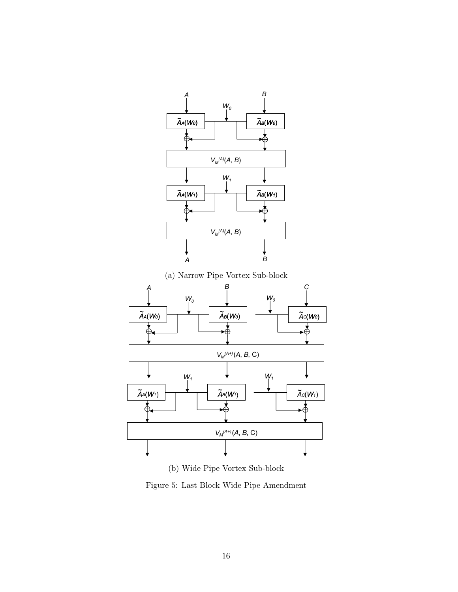

Figure 5: Last Block Wide Pipe Amendment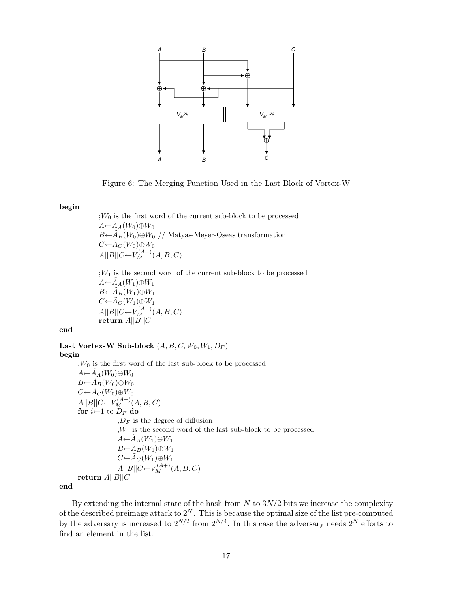

Figure 6: The Merging Function Used in the Last Block of Vortex-W

#### begin

 $;W_0$  is the first word of the current sub-block to be processed  $A \leftarrow \widetilde{A}_A(W_0) \oplus W_0$  $B \leftarrow \tilde{A}_B(W_0) \oplus W_0$  // Matyas-Meyer-Oseas transformation  $C\leftarrow \tilde{A}_C(W_0)\oplus W_0$  $A||B||C \leftarrow V_M^{(A+)}(A, B, C)$ 

 $;W_1$  is the second word of the current sub-block to be processed  $A \leftarrow A_A(W_1) \oplus W_1$  $B\leftarrow \tilde{A}_B(W_1)\oplus W_1$  $C\leftarrow \tilde{A}_C(W_1)\oplus W_1$  $A||B||C \leftarrow V_M^{(A+)}(A, B, C)$  $r$ eturn  $A||B||C$ 

end

Last Vortex-W Sub-block  $(A, B, C, W_0, W_1, D_F)$ 

#### begin

 $;W_0$  is the first word of the last sub-block to be processed  $A \leftarrow A_A(W_0) \oplus W_0$  $B\leftarrow \tilde{A}_B(W_0)\oplus W_0$  $C\leftarrow \tilde{A}_C(W_0)\oplus W_0$  $A||B||C \leftarrow V_M^{(A+)}(A, B, C)$ for  $i\leftarrow 1$  to  $D_F$  do  $;D_F$  is the degree of diffusion  $;W_1$  is the second word of the last sub-block to be processed  $A \leftarrow \tilde{A}_A(W_1) \oplus W_1$  $B\leftarrow \tilde{A}_B(W_1)\oplus W_1$  $C\leftarrow \tilde{A}_C(W_1)\oplus W_1$  $A||B||C \leftarrow V_M^{(A+)}(A, B, C)$ return  $A||B||C$ 

end

By extending the internal state of the hash from  $N$  to  $3N/2$  bits we increase the complexity of the described preimage attack to  $2^N$ . This is because the optimal size of the list pre-computed by the adversary is increased to  $2^{N/2}$  from  $2^{N/4}$ . In this case the adversary needs  $2^N$  efforts to find an element in the list.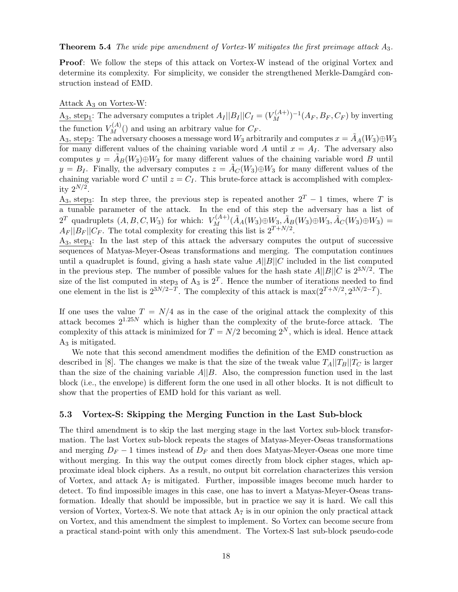**Theorem 5.4** The wide pipe amendment of Vortex-W mitigates the first preimage attack  $A_3$ .

Proof: We follow the steps of this attack on Vortex-W instead of the original Vortex and determine its complexity. For simplicity, we consider the strengthened Merkle-Damgård construction instead of EMD.

#### Attack  $A_3$  on Vortex-W:

 $\underline{A}_3$ , step<sub>1</sub>: The adversary computes a triplet  $A_I || B_I || C_I = (V_M^{(A+)})^{-1} (A_F, B_F, C_F)$  by inverting the function  $V_M^{(A)}()$  and using an arbitrary value for  $C_F$ .

A<sub>3</sub>, step<sub>2</sub>: The adversary chooses a message word  $W_3$  arbitrarily and computes  $x = \tilde{A}_A(W_3) \oplus W_3$ for many different values of the chaining variable word A until  $x = A<sub>I</sub>$ . The adversary also computes  $y = A_B(W_3) \oplus W_3$  for many different values of the chaining variable word B until  $y = B_I$ . Finally, the adversary computes  $z = \tilde{A}_C(W_3) \oplus W_3$  for many different values of the chaining variable word C until  $z = C_I$ . This brute-force attack is accomplished with complexity  $2^{N/2}$ .

A<sub>3</sub>, step<sub>3</sub>: In step three, the previous step is repeated another  $2^T - 1$  times, where T is a tunable parameter of the attack. In the end of this step the adversary has a list of 2<sup>T</sup> quadruplets  $(A, B, C, W_3)$  for which:  $V_M^{(A+)}(\tilde{A}_A(W_3) \oplus W_3, \tilde{A}_B(W_3) \oplus W_3, \tilde{A}_C(W_3) \oplus W_3) =$  $A_F ||B_F|| C_F$ . The total complexity for creating this list is  $2^{T+N/2}$ .

 $A_3$ , step<sub>4</sub>: In the last step of this attack the adversary computes the output of successive sequences of Matyas-Meyer-Oseas transformations and merging. The computation continues until a quadruplet is found, giving a hash state value  $A||B||C$  included in the list computed in the previous step. The number of possible values for the hash state  $A||B||C$  is  $2^{3N/2}$ . The size of the list computed in step<sub>3</sub> of  $A_3$  is  $2^T$ . Hence the number of iterations needed to find one element in the list is  $2^{3N/2-T}$ . The complexity of this attack is  $\max(2^{T+N/2}, 2^{3N/2-T})$ .

If one uses the value  $T = N/4$  as in the case of the original attack the complexity of this attack becomes  $2^{1.25N}$  which is higher than the complexity of the brute-force attack. The complexity of this attack is minimized for  $T = N/2$  becoming  $2^N$ , which is ideal. Hence attack  $A_3$  is mitigated.

We note that this second amendment modifies the definition of the EMD construction as described in [8]. The changes we make is that the size of the tweak value  $T_A||T_B||T_C$  is larger than the size of the chaining variable  $A||B$ . Also, the compression function used in the last block (i.e., the envelope) is different form the one used in all other blocks. It is not difficult to show that the properties of EMD hold for this variant as well.

### 5.3 Vortex-S: Skipping the Merging Function in the Last Sub-block

The third amendment is to skip the last merging stage in the last Vortex sub-block transformation. The last Vortex sub-block repeats the stages of Matyas-Meyer-Oseas transformations and merging  $D_F - 1$  times instead of  $D_F$  and then does Matyas-Meyer-Oseas one more time without merging. In this way the output comes directly from block cipher stages, which approximate ideal block ciphers. As a result, no output bit correlation characterizes this version of Vortex, and attack  $A_7$  is mitigated. Further, impossible images become much harder to detect. To find impossible images in this case, one has to invert a Matyas-Meyer-Oseas transformation. Ideally that should be impossible, but in practice we say it is hard. We call this version of Vortex, Vortex-S. We note that attack  $A_7$  is in our opinion the only practical attack on Vortex, and this amendment the simplest to implement. So Vortex can become secure from a practical stand-point with only this amendment. The Vortex-S last sub-block pseudo-code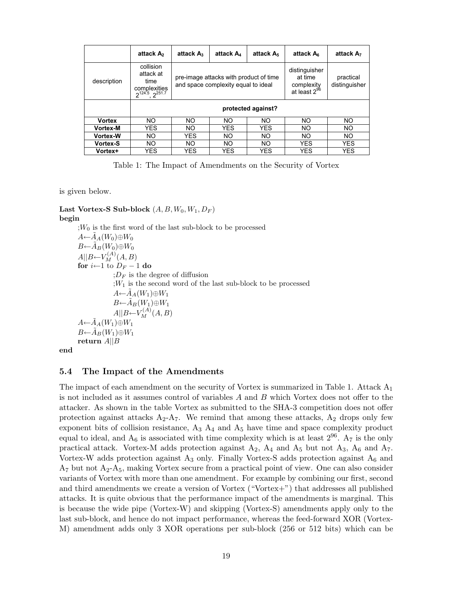|                 | attack A <sub>2</sub>                                                       | attack $A_3$                                                                  | attack A | attack A <sub>5</sub> | attack A <sub>6</sub>                                       | attack A <sub>7</sub>      |
|-----------------|-----------------------------------------------------------------------------|-------------------------------------------------------------------------------|----------|-----------------------|-------------------------------------------------------------|----------------------------|
| description     | collision<br>attack at<br>time<br>complexities<br>$2^{124.5}$ , $2^{251.7}$ | pre-image attacks with product of time<br>and space complexity equal to ideal |          |                       | distinguisher<br>at time<br>complexity<br>at least $2^{96}$ | practical<br>distinguisher |
|                 | protected against?                                                          |                                                                               |          |                       |                                                             |                            |
| <b>Vortex</b>   | NO.                                                                         | NO.                                                                           | NO.      | NO.                   | NO.                                                         | NO.                        |
| <b>Vortex-M</b> | YES                                                                         | NO.                                                                           | YES      | <b>YES</b>            | NO.                                                         | NO.                        |
| <b>Vortex-W</b> | NO.                                                                         | <b>YES</b>                                                                    | NO.      | NO.                   | NO.                                                         | NO.                        |
| Vortex-S        | NO.                                                                         | NO.                                                                           | NO.      | NO.                   | <b>YES</b>                                                  | <b>YES</b>                 |
|                 |                                                                             |                                                                               |          |                       |                                                             |                            |

Table 1: The Impact of Amendments on the Security of Vortex

is given below.

### Last Vortex-S Sub-block  $(A, B, W_0, W_1, D_F)$ begin

 $;W_0$  is the first word of the last sub-block to be processed  $A \leftarrow A_A(W_0) \oplus W_0$  $B{\leftarrow}\tilde{A}_B(W_0){\oplus}W_0$  $A||B \leftarrow V_M^{(A)}(A, B)$ for  $i \leftarrow 1$  to  $D_F - 1$  do  $;D_F$  is the degree of diffusion  $;W_1$  is the second word of the last sub-block to be processed  $A \leftarrow \tilde{A}_A(W_1) \oplus W_1$  $B\leftarrow \tilde{A}_B(W_1)\oplus W_1$  $A||B \leftarrow V_M^{(A)}(A, B)$  $A \leftarrow \tilde{A}_A(W_1) \oplus W_1$  $B{\leftarrow}\tilde{A}_B(W_1){\oplus}W_1$ return  $A||B$ 

end

### 5.4 The Impact of the Amendments

The impact of each amendment on the security of Vortex is summarized in Table 1. Attack  $A_1$ is not included as it assumes control of variables A and B which Vortex does not offer to the attacker. As shown in the table Vortex as submitted to the SHA-3 competition does not offer protection against attacks  $A_2-A_7$ . We remind that among these attacks,  $A_2$  drops only few exponent bits of collision resistance,  $A_3$   $A_4$  and  $A_5$  have time and space complexity product equal to ideal, and  $A_6$  is associated with time complexity which is at least  $2^{96}$ .  $A_7$  is the only practical attack. Vortex-M adds protection against  $A_2$ ,  $A_4$  and  $A_5$  but not  $A_3$ ,  $A_6$  and  $A_7$ . Vortex-W adds protection against  $A_3$  only. Finally Vortex-S adds protection against  $A_6$  and  $A_7$  but not  $A_2$ - $A_5$ , making Vortex secure from a practical point of view. One can also consider variants of Vortex with more than one amendment. For example by combining our first, second and third amendments we create a version of Vortex ("Vortex+") that addresses all published attacks. It is quite obvious that the performance impact of the amendments is marginal. This is because the wide pipe (Vortex-W) and skipping (Vortex-S) amendments apply only to the last sub-block, and hence do not impact performance, whereas the feed-forward XOR (Vortex-M) amendment adds only 3 XOR operations per sub-block (256 or 512 bits) which can be